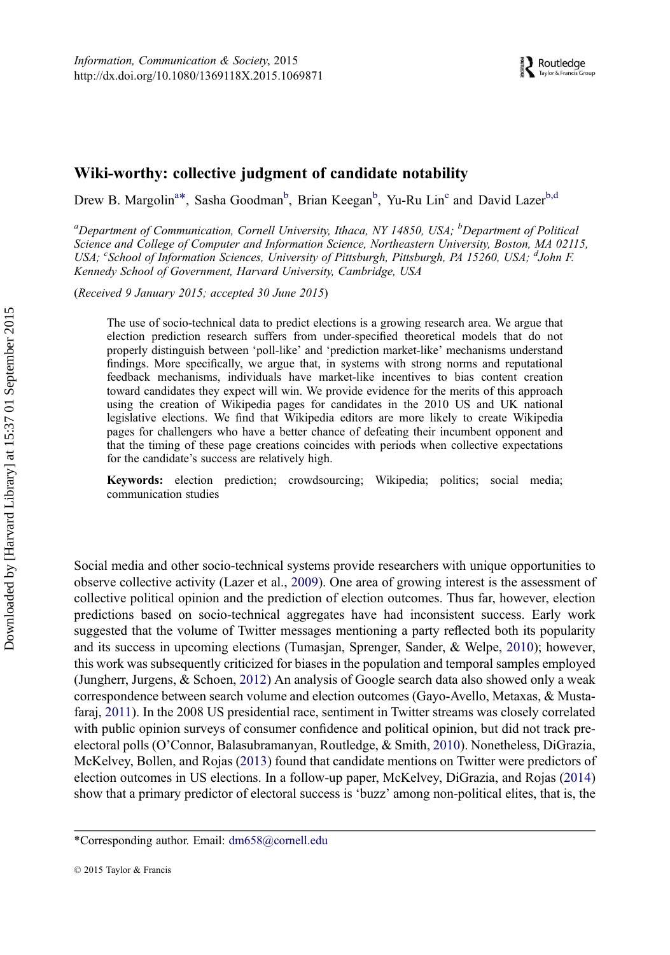# Wiki-worthy: collective judgment of candidate notability

Drew B. Margolin<sup>a\*</sup>, Sasha Goodman<sup>b</sup>, Brian Keegan<sup>b</sup>, Yu-Ru Lin<sup>c</sup> and David Lazer<sup>b,d</sup>

<sup>a</sup>Department of Communication, Cornell University, Ithaca, NY 14850, USA; <sup>b</sup>Department of Political Science and College of Computer and Information Science, Northeastern University, Boston, MA 02115, USA; <sup>c</sup>School of Information Sciences, University of Pittsburgh, Pittsburgh, PA 15260, USA; <sup>d</sup>John F. Kennedy School of Government, Harvard University, Cambridge, USA

(Received 9 January 2015; accepted 30 June 2015)

The use of socio-technical data to predict elections is a growing research area. We argue that election prediction research suffers from under-specified theoretical models that do not properly distinguish between 'poll-like' and 'prediction market-like' mechanisms understand findings. More specifically, we argue that, in systems with strong norms and reputational feedback mechanisms, individuals have market-like incentives to bias content creation toward candidates they expect will win. We provide evidence for the merits of this approach using the creation of Wikipedia pages for candidates in the 2010 US and UK national legislative elections. We find that Wikipedia editors are more likely to create Wikipedia pages for challengers who have a better chance of defeating their incumbent opponent and that the timing of these page creations coincides with periods when collective expectations for the candidate's success are relatively high.

Keywords: election prediction; crowdsourcing; Wikipedia; politics; social media; communication studies

Social media and other socio-technical systems provide researchers with unique opportunities to observe collective activity (Lazer et al., [2009](#page-16-0)). One area of growing interest is the assessment of collective political opinion and the prediction of election outcomes. Thus far, however, election predictions based on socio-technical aggregates have had inconsistent success. Early work suggested that the volume of Twitter messages mentioning a party reflected both its popularity and its success in upcoming elections (Tumasjan, Sprenger, Sander, & Welpe, [2010](#page-16-0)); however, this work was subsequently criticized for biases in the population and temporal samples employed (Jungherr, Jurgens, & Schoen, [2012](#page-15-0)) An analysis of Google search data also showed only a weak correspondence between search volume and election outcomes (Gayo-Avello, Metaxas, & Mustafaraj, [2011](#page-15-0)). In the 2008 US presidential race, sentiment in Twitter streams was closely correlated with public opinion surveys of consumer confidence and political opinion, but did not track preelectoral polls (O'Connor, Balasubramanyan, Routledge, & Smith, [2010](#page-16-0)). Nonetheless, DiGrazia, McKelvey, Bollen, and Rojas ([2013\)](#page-15-0) found that candidate mentions on Twitter were predictors of election outcomes in US elections. In a follow-up paper, McKelvey, DiGrazia, and Rojas [\(2014](#page-16-0)) show that a primary predictor of electoral success is 'buzz' among non-political elites, that is, the

<sup>\*</sup>Corresponding author. Email: [dm658@cornell.edu](mailto:dm658@cornell.edu)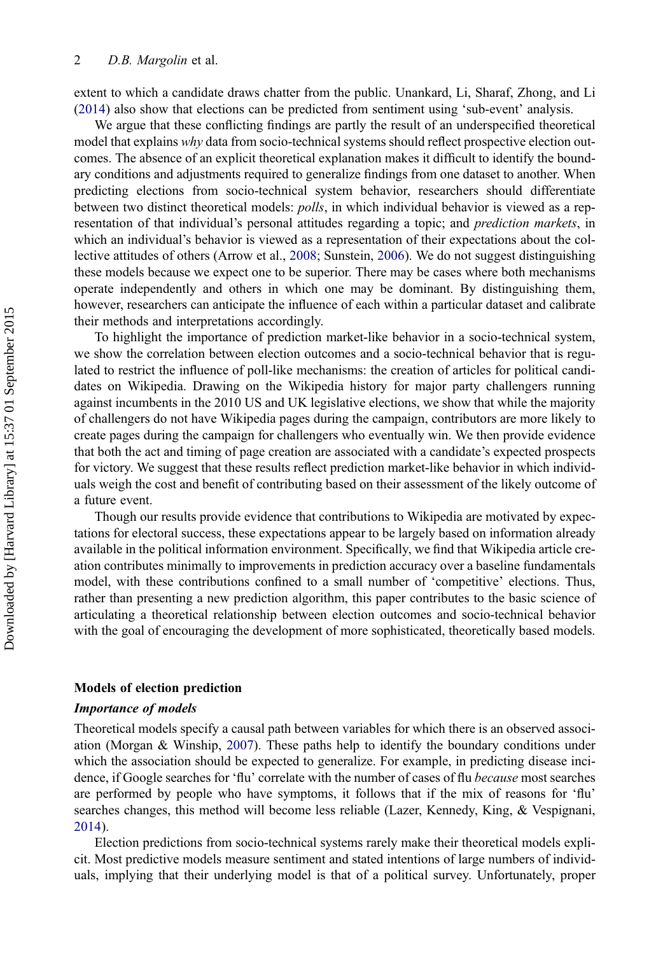extent to which a candidate draws chatter from the public. Unankard, Li, Sharaf, Zhong, and Li ([2014\)](#page-16-0) also show that elections can be predicted from sentiment using 'sub-event' analysis.

We argue that these conflicting findings are partly the result of an underspecified theoretical model that explains why data from socio-technical systems should reflect prospective election outcomes. The absence of an explicit theoretical explanation makes it difficult to identify the boundary conditions and adjustments required to generalize findings from one dataset to another. When predicting elections from socio-technical system behavior, researchers should differentiate between two distinct theoretical models: polls, in which individual behavior is viewed as a representation of that individual's personal attitudes regarding a topic; and *prediction markets*, in which an individual's behavior is viewed as a representation of their expectations about the collective attitudes of others (Arrow et al., [2008](#page-15-0); Sunstein, [2006\)](#page-16-0). We do not suggest distinguishing these models because we expect one to be superior. There may be cases where both mechanisms operate independently and others in which one may be dominant. By distinguishing them, however, researchers can anticipate the influence of each within a particular dataset and calibrate their methods and interpretations accordingly.

To highlight the importance of prediction market-like behavior in a socio-technical system, we show the correlation between election outcomes and a socio-technical behavior that is regulated to restrict the influence of poll-like mechanisms: the creation of articles for political candidates on Wikipedia. Drawing on the Wikipedia history for major party challengers running against incumbents in the 2010 US and UK legislative elections, we show that while the majority of challengers do not have Wikipedia pages during the campaign, contributors are more likely to create pages during the campaign for challengers who eventually win. We then provide evidence that both the act and timing of page creation are associated with a candidate's expected prospects for victory. We suggest that these results reflect prediction market-like behavior in which individuals weigh the cost and benefit of contributing based on their assessment of the likely outcome of a future event.

Though our results provide evidence that contributions to Wikipedia are motivated by expectations for electoral success, these expectations appear to be largely based on information already available in the political information environment. Specifically, we find that Wikipedia article creation contributes minimally to improvements in prediction accuracy over a baseline fundamentals model, with these contributions confined to a small number of 'competitive' elections. Thus, rather than presenting a new prediction algorithm, this paper contributes to the basic science of articulating a theoretical relationship between election outcomes and socio-technical behavior with the goal of encouraging the development of more sophisticated, theoretically based models.

## Models of election prediction

### Importance of models

Theoretical models specify a causal path between variables for which there is an observed association (Morgan & Winship, [2007\)](#page-16-0). These paths help to identify the boundary conditions under which the association should be expected to generalize. For example, in predicting disease incidence, if Google searches for 'flu' correlate with the number of cases of flu *because* most searches are performed by people who have symptoms, it follows that if the mix of reasons for 'flu' searches changes, this method will become less reliable (Lazer, Kennedy, King, & Vespignani, [2014\)](#page-15-0).

Election predictions from socio-technical systems rarely make their theoretical models explicit. Most predictive models measure sentiment and stated intentions of large numbers of individuals, implying that their underlying model is that of a political survey. Unfortunately, proper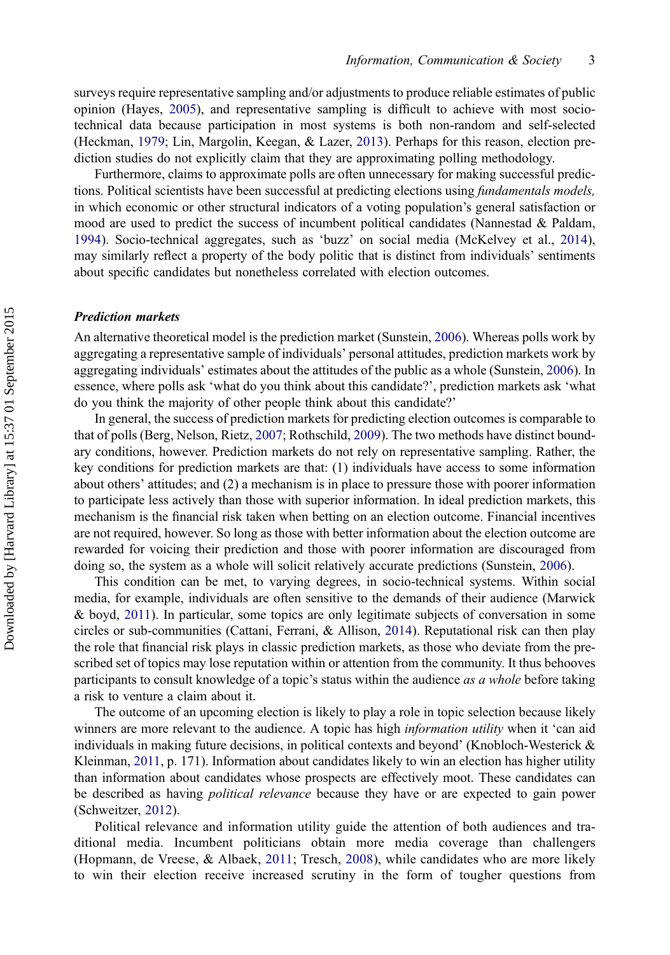surveys require representative sampling and/or adjustments to produce reliable estimates of public opinion (Hayes, [2005\)](#page-15-0), and representative sampling is difficult to achieve with most sociotechnical data because participation in most systems is both non-random and self-selected (Heckman, [1979](#page-15-0); Lin, Margolin, Keegan, & Lazer, [2013\)](#page-16-0). Perhaps for this reason, election prediction studies do not explicitly claim that they are approximating polling methodology.

Furthermore, claims to approximate polls are often unnecessary for making successful predictions. Political scientists have been successful at predicting elections using *fundamentals models*, in which economic or other structural indicators of a voting population's general satisfaction or mood are used to predict the success of incumbent political candidates (Nannestad & Paldam, [1994\)](#page-16-0). Socio-technical aggregates, such as 'buzz' on social media (McKelvey et al., [2014\)](#page-16-0), may similarly reflect a property of the body politic that is distinct from individuals' sentiments about specific candidates but nonetheless correlated with election outcomes.

### Prediction markets

An alternative theoretical model is the prediction market (Sunstein, [2006](#page-16-0)). Whereas polls work by aggregating a representative sample of individuals' personal attitudes, prediction markets work by aggregating individuals' estimates about the attitudes of the public as a whole (Sunstein, [2006\)](#page-16-0). In essence, where polls ask 'what do you think about this candidate?', prediction markets ask 'what do you think the majority of other people think about this candidate?'

In general, the success of prediction markets for predicting election outcomes is comparable to that of polls (Berg, Nelson, Rietz, [2007](#page-15-0); Rothschild, [2009\)](#page-16-0). The two methods have distinct boundary conditions, however. Prediction markets do not rely on representative sampling. Rather, the key conditions for prediction markets are that: (1) individuals have access to some information about others' attitudes; and (2) a mechanism is in place to pressure those with poorer information to participate less actively than those with superior information. In ideal prediction markets, this mechanism is the financial risk taken when betting on an election outcome. Financial incentives are not required, however. So long as those with better information about the election outcome are rewarded for voicing their prediction and those with poorer information are discouraged from doing so, the system as a whole will solicit relatively accurate predictions (Sunstein, [2006\)](#page-16-0).

This condition can be met, to varying degrees, in socio-technical systems. Within social media, for example, individuals are often sensitive to the demands of their audience (Marwick & boyd, [2011](#page-16-0)). In particular, some topics are only legitimate subjects of conversation in some circles or sub-communities (Cattani, Ferrani, & Allison, [2014\)](#page-15-0). Reputational risk can then play the role that financial risk plays in classic prediction markets, as those who deviate from the prescribed set of topics may lose reputation within or attention from the community. It thus behooves participants to consult knowledge of a topic's status within the audience as a whole before taking a risk to venture a claim about it.

The outcome of an upcoming election is likely to play a role in topic selection because likely winners are more relevant to the audience. A topic has high information utility when it 'can aid individuals in making future decisions, in political contexts and beyond' (Knobloch-Westerick & Kleinman, [2011](#page-15-0), p. 171). Information about candidates likely to win an election has higher utility than information about candidates whose prospects are effectively moot. These candidates can be described as having political relevance because they have or are expected to gain power (Schweitzer, [2012\)](#page-16-0).

Political relevance and information utility guide the attention of both audiences and traditional media. Incumbent politicians obtain more media coverage than challengers (Hopmann, de Vreese, & Albaek, [2011;](#page-15-0) Tresch, [2008](#page-16-0)), while candidates who are more likely to win their election receive increased scrutiny in the form of tougher questions from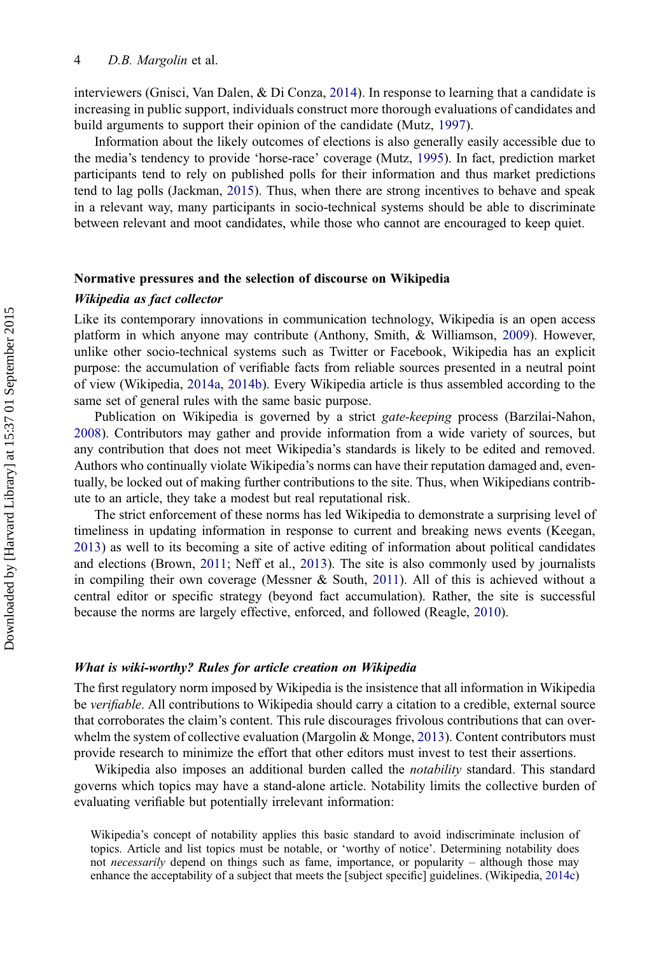interviewers (Gnisci, Van Dalen, & Di Conza, [2014](#page-15-0)). In response to learning that a candidate is increasing in public support, individuals construct more thorough evaluations of candidates and build arguments to support their opinion of the candidate (Mutz, [1997](#page-16-0)).

Information about the likely outcomes of elections is also generally easily accessible due to the media's tendency to provide 'horse-race' coverage (Mutz, [1995](#page-16-0)). In fact, prediction market participants tend to rely on published polls for their information and thus market predictions tend to lag polls (Jackman, [2015](#page-15-0)). Thus, when there are strong incentives to behave and speak in a relevant way, many participants in socio-technical systems should be able to discriminate between relevant and moot candidates, while those who cannot are encouraged to keep quiet.

## Normative pressures and the selection of discourse on Wikipedia

#### Wikipedia as fact collector

Like its contemporary innovations in communication technology, Wikipedia is an open access platform in which anyone may contribute (Anthony, Smith, & Williamson, [2009](#page-15-0)). However, unlike other socio-technical systems such as Twitter or Facebook, Wikipedia has an explicit purpose: the accumulation of verifiable facts from reliable sources presented in a neutral point of view (Wikipedia, [2014a](#page-16-0), [2014b\)](#page-16-0). Every Wikipedia article is thus assembled according to the same set of general rules with the same basic purpose.

Publication on Wikipedia is governed by a strict *gate-keeping* process (Barzilai-Nahon, [2008\)](#page-15-0). Contributors may gather and provide information from a wide variety of sources, but any contribution that does not meet Wikipedia's standards is likely to be edited and removed. Authors who continually violate Wikipedia's norms can have their reputation damaged and, eventually, be locked out of making further contributions to the site. Thus, when Wikipedians contribute to an article, they take a modest but real reputational risk.

The strict enforcement of these norms has led Wikipedia to demonstrate a surprising level of timeliness in updating information in response to current and breaking news events (Keegan, [2013\)](#page-15-0) as well to its becoming a site of active editing of information about political candidates and elections (Brown, [2011](#page-15-0); Neff et al., [2013](#page-16-0)). The site is also commonly used by journalists in compiling their own coverage (Messner & South, [2011](#page-16-0)). All of this is achieved without a central editor or specific strategy (beyond fact accumulation). Rather, the site is successful because the norms are largely effective, enforced, and followed (Reagle, [2010](#page-16-0)).

#### What is wiki-worthy? Rules for article creation on Wikipedia

The first regulatory norm imposed by Wikipedia is the insistence that all information in Wikipedia be *verifiable*. All contributions to Wikipedia should carry a citation to a credible, external source that corroborates the claim's content. This rule discourages frivolous contributions that can over-whelm the system of collective evaluation (Margolin & Monge, [2013\)](#page-16-0). Content contributors must provide research to minimize the effort that other editors must invest to test their assertions.

Wikipedia also imposes an additional burden called the *notability* standard. This standard governs which topics may have a stand-alone article. Notability limits the collective burden of evaluating verifiable but potentially irrelevant information:

Wikipedia's concept of notability applies this basic standard to avoid indiscriminate inclusion of topics. Article and list topics must be notable, or 'worthy of notice'. Determining notability does not *necessarily* depend on things such as fame, importance, or popularity – although those may enhance the acceptability of a subject that meets the [subject specific] guidelines. (Wikipedia, [2014c\)](#page-16-0)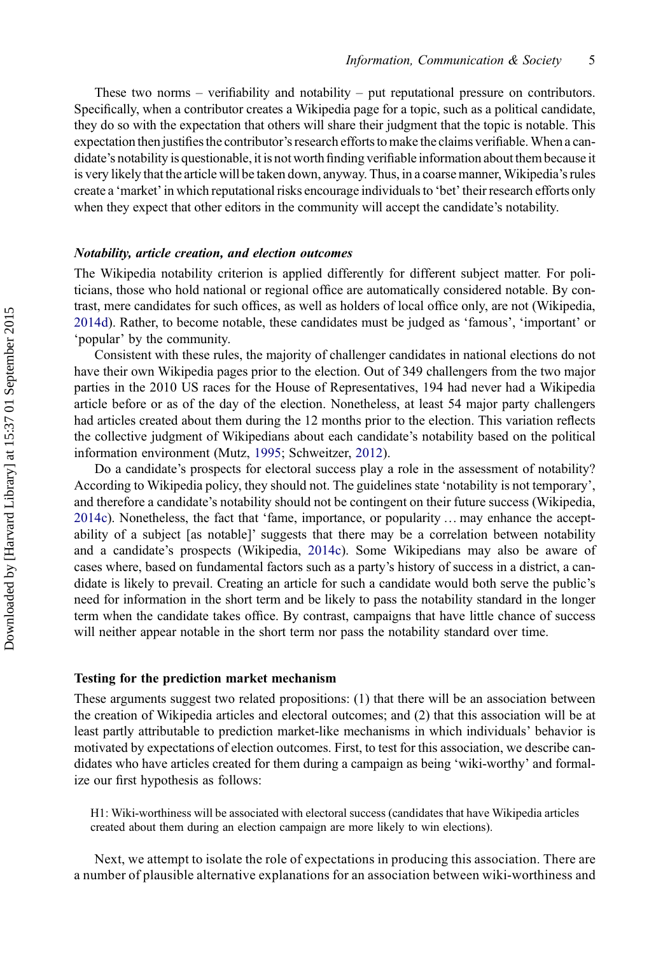These two norms – verifiability and notability – put reputational pressure on contributors. Specifically, when a contributor creates a Wikipedia page for a topic, such as a political candidate, they do so with the expectation that others will share their judgment that the topic is notable. This expectation then justifies the contributor's research efforts to make the claims verifiable.When a candidate's notability is questionable, it is not worth finding verifiable information about them because it is very likely that the article will be taken down, anyway. Thus, in a coarse manner, Wikipedia's rules create a 'market' in which reputational risks encourage individuals to 'bet'their research efforts only when they expect that other editors in the community will accept the candidate's notability.

### Notability, article creation, and election outcomes

The Wikipedia notability criterion is applied differently for different subject matter. For politicians, those who hold national or regional office are automatically considered notable. By contrast, mere candidates for such offices, as well as holders of local office only, are not (Wikipedia, [2014d\)](#page-16-0). Rather, to become notable, these candidates must be judged as 'famous', 'important' or 'popular' by the community.

Consistent with these rules, the majority of challenger candidates in national elections do not have their own Wikipedia pages prior to the election. Out of 349 challengers from the two major parties in the 2010 US races for the House of Representatives, 194 had never had a Wikipedia article before or as of the day of the election. Nonetheless, at least 54 major party challengers had articles created about them during the 12 months prior to the election. This variation reflects the collective judgment of Wikipedians about each candidate's notability based on the political information environment (Mutz, [1995](#page-16-0); Schweitzer, [2012\)](#page-16-0).

Do a candidate's prospects for electoral success play a role in the assessment of notability? According to Wikipedia policy, they should not. The guidelines state 'notability is not temporary', and therefore a candidate's notability should not be contingent on their future success (Wikipedia, [2014c](#page-16-0)). Nonetheless, the fact that 'fame, importance, or popularity … may enhance the acceptability of a subject [as notable]' suggests that there may be a correlation between notability and a candidate's prospects (Wikipedia, [2014c](#page-16-0)). Some Wikipedians may also be aware of cases where, based on fundamental factors such as a party's history of success in a district, a candidate is likely to prevail. Creating an article for such a candidate would both serve the public's need for information in the short term and be likely to pass the notability standard in the longer term when the candidate takes office. By contrast, campaigns that have little chance of success will neither appear notable in the short term nor pass the notability standard over time.

#### Testing for the prediction market mechanism

These arguments suggest two related propositions: (1) that there will be an association between the creation of Wikipedia articles and electoral outcomes; and (2) that this association will be at least partly attributable to prediction market-like mechanisms in which individuals' behavior is motivated by expectations of election outcomes. First, to test for this association, we describe candidates who have articles created for them during a campaign as being 'wiki-worthy' and formalize our first hypothesis as follows:

H1: Wiki-worthiness will be associated with electoral success (candidates that have Wikipedia articles created about them during an election campaign are more likely to win elections).

Next, we attempt to isolate the role of expectations in producing this association. There are a number of plausible alternative explanations for an association between wiki-worthiness and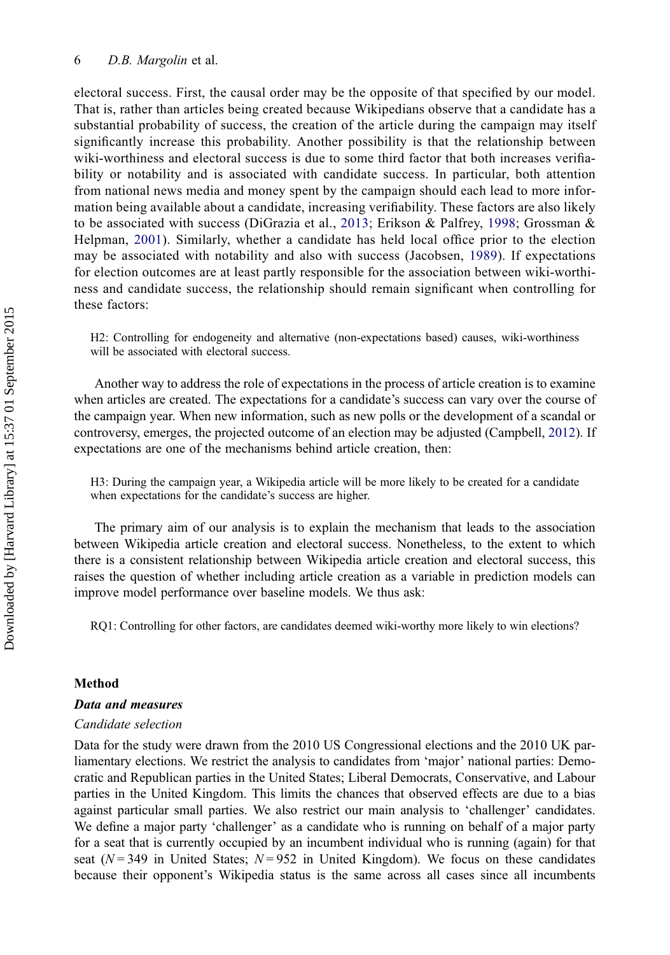### 6 D.B. Margolin et al.

electoral success. First, the causal order may be the opposite of that specified by our model. That is, rather than articles being created because Wikipedians observe that a candidate has a substantial probability of success, the creation of the article during the campaign may itself significantly increase this probability. Another possibility is that the relationship between wiki-worthiness and electoral success is due to some third factor that both increases verifiability or notability and is associated with candidate success. In particular, both attention from national news media and money spent by the campaign should each lead to more information being available about a candidate, increasing verifiability. These factors are also likely to be associated with success (DiGrazia et al., [2013;](#page-15-0) Erikson & Palfrey, [1998;](#page-15-0) Grossman & Helpman, [2001\)](#page-15-0). Similarly, whether a candidate has held local office prior to the election may be associated with notability and also with success (Jacobsen, [1989](#page-15-0)). If expectations for election outcomes are at least partly responsible for the association between wiki-worthiness and candidate success, the relationship should remain significant when controlling for these factors:

H2: Controlling for endogeneity and alternative (non-expectations based) causes, wiki-worthiness will be associated with electoral success.

Another way to address the role of expectations in the process of article creation is to examine when articles are created. The expectations for a candidate's success can vary over the course of the campaign year. When new information, such as new polls or the development of a scandal or controversy, emerges, the projected outcome of an election may be adjusted (Campbell, [2012\)](#page-15-0). If expectations are one of the mechanisms behind article creation, then:

H3: During the campaign year, a Wikipedia article will be more likely to be created for a candidate when expectations for the candidate's success are higher.

The primary aim of our analysis is to explain the mechanism that leads to the association between Wikipedia article creation and electoral success. Nonetheless, to the extent to which there is a consistent relationship between Wikipedia article creation and electoral success, this raises the question of whether including article creation as a variable in prediction models can improve model performance over baseline models. We thus ask:

RQ1: Controlling for other factors, are candidates deemed wiki-worthy more likely to win elections?

### Method

#### Data and measures

#### Candidate selection

Data for the study were drawn from the 2010 US Congressional elections and the 2010 UK parliamentary elections. We restrict the analysis to candidates from 'major' national parties: Democratic and Republican parties in the United States; Liberal Democrats, Conservative, and Labour parties in the United Kingdom. This limits the chances that observed effects are due to a bias against particular small parties. We also restrict our main analysis to 'challenger' candidates. We define a major party 'challenger' as a candidate who is running on behalf of a major party for a seat that is currently occupied by an incumbent individual who is running (again) for that seat ( $N = 349$  in United States;  $N = 952$  in United Kingdom). We focus on these candidates because their opponent's Wikipedia status is the same across all cases since all incumbents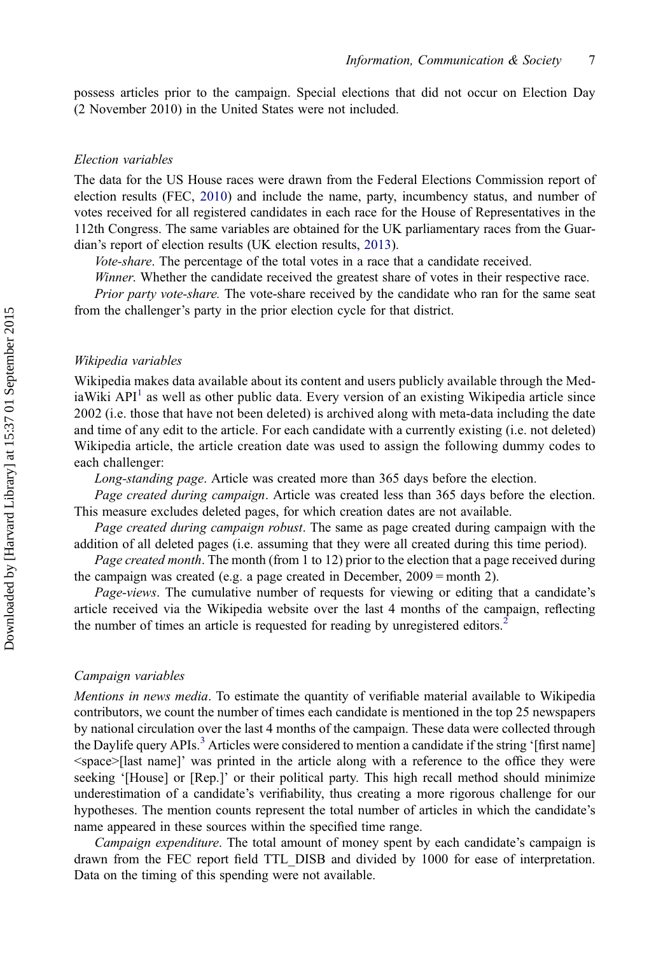possess articles prior to the campaign. Special elections that did not occur on Election Day (2 November 2010) in the United States were not included.

## Election variables

The data for the US House races were drawn from the Federal Elections Commission report of election results (FEC, [2010](#page-15-0)) and include the name, party, incumbency status, and number of votes received for all registered candidates in each race for the House of Representatives in the 112th Congress. The same variables are obtained for the UK parliamentary races from the Guardian's report of election results (UK election results, [2013](#page-16-0)).

Vote-share. The percentage of the total votes in a race that a candidate received.

Winner. Whether the candidate received the greatest share of votes in their respective race.

Prior party vote-share. The vote-share received by the candidate who ran for the same seat from the challenger's party in the prior election cycle for that district.

#### Wikipedia variables

Wikipedia makes data available about its content and users publicly available through the MediaWiki  $API<sup>1</sup>$  $API<sup>1</sup>$  $API<sup>1</sup>$  as well as other public data. Every version of an existing Wikipedia article since 2002 (i.e. those that have not been deleted) is archived along with meta-data including the date and time of any edit to the article. For each candidate with a currently existing (i.e. not deleted) Wikipedia article, the article creation date was used to assign the following dummy codes to each challenger:

Long-standing page. Article was created more than 365 days before the election.

Page created during campaign. Article was created less than 365 days before the election. This measure excludes deleted pages, for which creation dates are not available.

Page created during campaign robust. The same as page created during campaign with the addition of all deleted pages (i.e. assuming that they were all created during this time period).

Page created month. The month (from 1 to 12) prior to the election that a page received during the campaign was created (e.g. a page created in December,  $2009 =$  month 2).

Page-views. The cumulative number of requests for viewing or editing that a candidate's article received via the Wikipedia website over the last 4 months of the campaign, reflecting the number of times an article is requested for reading by unregistered editors.<sup>[2](#page-14-0)</sup>

## Campaign variables

Mentions in news media. To estimate the quantity of verifiable material available to Wikipedia contributors, we count the number of times each candidate is mentioned in the top 25 newspapers by national circulation over the last 4 months of the campaign. These data were collected through the Daylife query APIs.<sup>[3](#page-14-0)</sup> Articles were considered to mention a candidate if the string '[first name] <space>[last name]' was printed in the article along with a reference to the office they were seeking '[House] or [Rep.]' or their political party. This high recall method should minimize underestimation of a candidate's verifiability, thus creating a more rigorous challenge for our hypotheses. The mention counts represent the total number of articles in which the candidate's name appeared in these sources within the specified time range.

Campaign expenditure. The total amount of money spent by each candidate's campaign is drawn from the FEC report field TTL\_DISB and divided by 1000 for ease of interpretation. Data on the timing of this spending were not available.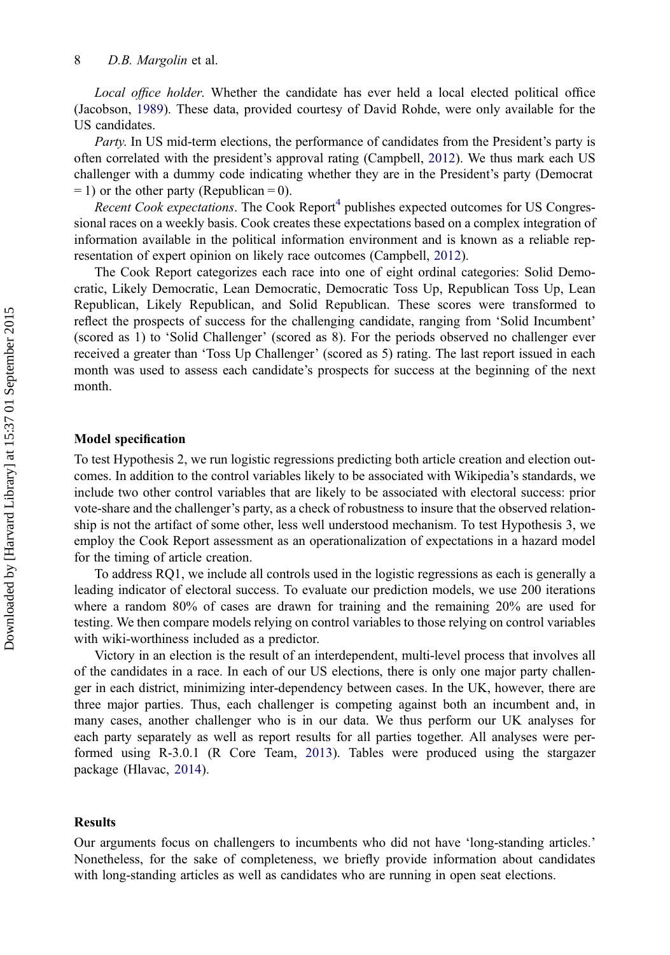Local office holder. Whether the candidate has ever held a local elected political office (Jacobson, [1989](#page-15-0)). These data, provided courtesy of David Rohde, were only available for the US candidates.

Party. In US mid-term elections, the performance of candidates from the President's party is often correlated with the president's approval rating (Campbell, [2012\)](#page-15-0). We thus mark each US challenger with a dummy code indicating whether they are in the President's party (Democrat  $= 1$ ) or the other party (Republican  $= 0$ ).

Recent Cook expectations. The Cook Report<sup>[4](#page-14-0)</sup> publishes expected outcomes for US Congressional races on a weekly basis. Cook creates these expectations based on a complex integration of information available in the political information environment and is known as a reliable representation of expert opinion on likely race outcomes (Campbell, [2012\)](#page-15-0).

The Cook Report categorizes each race into one of eight ordinal categories: Solid Democratic, Likely Democratic, Lean Democratic, Democratic Toss Up, Republican Toss Up, Lean Republican, Likely Republican, and Solid Republican. These scores were transformed to reflect the prospects of success for the challenging candidate, ranging from 'Solid Incumbent' (scored as 1) to 'Solid Challenger' (scored as 8). For the periods observed no challenger ever received a greater than 'Toss Up Challenger' (scored as 5) rating. The last report issued in each month was used to assess each candidate's prospects for success at the beginning of the next month.

#### Model specification

To test Hypothesis 2, we run logistic regressions predicting both article creation and election outcomes. In addition to the control variables likely to be associated with Wikipedia's standards, we include two other control variables that are likely to be associated with electoral success: prior vote-share and the challenger's party, as a check of robustness to insure that the observed relationship is not the artifact of some other, less well understood mechanism. To test Hypothesis 3, we employ the Cook Report assessment as an operationalization of expectations in a hazard model for the timing of article creation.

To address RQ1, we include all controls used in the logistic regressions as each is generally a leading indicator of electoral success. To evaluate our prediction models, we use 200 iterations where a random 80% of cases are drawn for training and the remaining 20% are used for testing. We then compare models relying on control variables to those relying on control variables with wiki-worthiness included as a predictor.

Victory in an election is the result of an interdependent, multi-level process that involves all of the candidates in a race. In each of our US elections, there is only one major party challenger in each district, minimizing inter-dependency between cases. In the UK, however, there are three major parties. Thus, each challenger is competing against both an incumbent and, in many cases, another challenger who is in our data. We thus perform our UK analyses for each party separately as well as report results for all parties together. All analyses were performed using R-3.0.1 (R Core Team, [2013](#page-16-0)). Tables were produced using the stargazer package (Hlavac, [2014\)](#page-15-0).

## Results

Our arguments focus on challengers to incumbents who did not have 'long-standing articles.' Nonetheless, for the sake of completeness, we briefly provide information about candidates with long-standing articles as well as candidates who are running in open seat elections.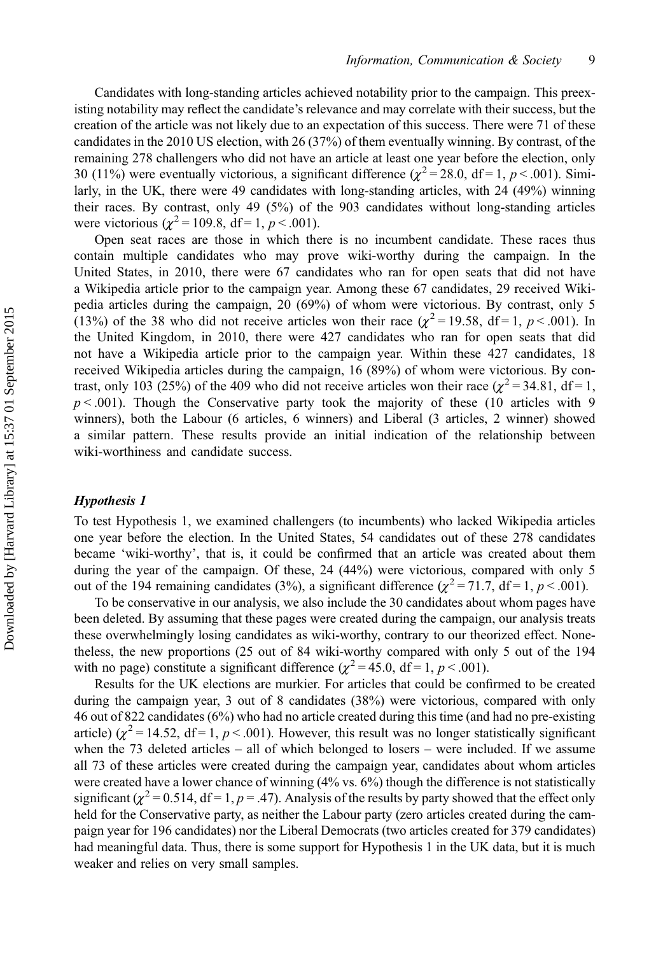Candidates with long-standing articles achieved notability prior to the campaign. This preexisting notability may reflect the candidate's relevance and may correlate with their success, but the creation of the article was not likely due to an expectation of this success. There were 71 of these candidates in the 2010 US election, with 26 (37%) of them eventually winning. By contrast, of the remaining 278 challengers who did not have an article at least one year before the election, only 30 (11%) were eventually victorious, a significant difference ( $\chi^2$  = 28.0, df = 1, p < .001). Similarly, in the UK, there were 49 candidates with long-standing articles, with 24 (49%) winning their races. By contrast, only 49 (5%) of the 903 candidates without long-standing articles were victorious ( $\chi^2$  = 109.8, df = 1, p < .001).

Open seat races are those in which there is no incumbent candidate. These races thus contain multiple candidates who may prove wiki-worthy during the campaign. In the United States, in 2010, there were 67 candidates who ran for open seats that did not have a Wikipedia article prior to the campaign year. Among these 67 candidates, 29 received Wikipedia articles during the campaign, 20 (69%) of whom were victorious. By contrast, only 5 (13%) of the 38 who did not receive articles won their race ( $\chi^2 = 19.58$ , df = 1, p < .001). In the United Kingdom, in 2010, there were 427 candidates who ran for open seats that did not have a Wikipedia article prior to the campaign year. Within these 427 candidates, 18 received Wikipedia articles during the campaign, 16 (89%) of whom were victorious. By contrast, only 103 (25%) of the 409 who did not receive articles won their race ( $\chi^2$  = 34.81, df = 1,  $p < .001$ ). Though the Conservative party took the majority of these (10 articles with 9 winners), both the Labour (6 articles, 6 winners) and Liberal (3 articles, 2 winner) showed a similar pattern. These results provide an initial indication of the relationship between wiki-worthiness and candidate success.

## Hypothesis 1

To test Hypothesis 1, we examined challengers (to incumbents) who lacked Wikipedia articles one year before the election. In the United States, 54 candidates out of these 278 candidates became 'wiki-worthy', that is, it could be confirmed that an article was created about them during the year of the campaign. Of these, 24 (44%) were victorious, compared with only 5 out of the 194 remaining candidates (3%), a significant difference ( $\chi^2$  = 71.7, df = 1, p < .001).

To be conservative in our analysis, we also include the 30 candidates about whom pages have been deleted. By assuming that these pages were created during the campaign, our analysis treats these overwhelmingly losing candidates as wiki-worthy, contrary to our theorized effect. Nonetheless, the new proportions (25 out of 84 wiki-worthy compared with only 5 out of the 194 with no page) constitute a significant difference ( $\chi^2$  = 45.0, df = 1, p < .001).

Results for the UK elections are murkier. For articles that could be confirmed to be created during the campaign year, 3 out of 8 candidates (38%) were victorious, compared with only 46 out of 822 candidates (6%) who had no article created during this time (and had no pre-existing article) ( $\chi^2$  = 14.52, df = 1, p < .001). However, this result was no longer statistically significant when the 73 deleted articles – all of which belonged to losers – were included. If we assume all 73 of these articles were created during the campaign year, candidates about whom articles were created have a lower chance of winning  $(4\% \text{ vs. } 6\%)$  though the difference is not statistically significant ( $\chi^2$  = 0.514, df = 1, p = .47). Analysis of the results by party showed that the effect only held for the Conservative party, as neither the Labour party (zero articles created during the campaign year for 196 candidates) nor the Liberal Democrats (two articles created for 379 candidates) had meaningful data. Thus, there is some support for Hypothesis 1 in the UK data, but it is much weaker and relies on very small samples.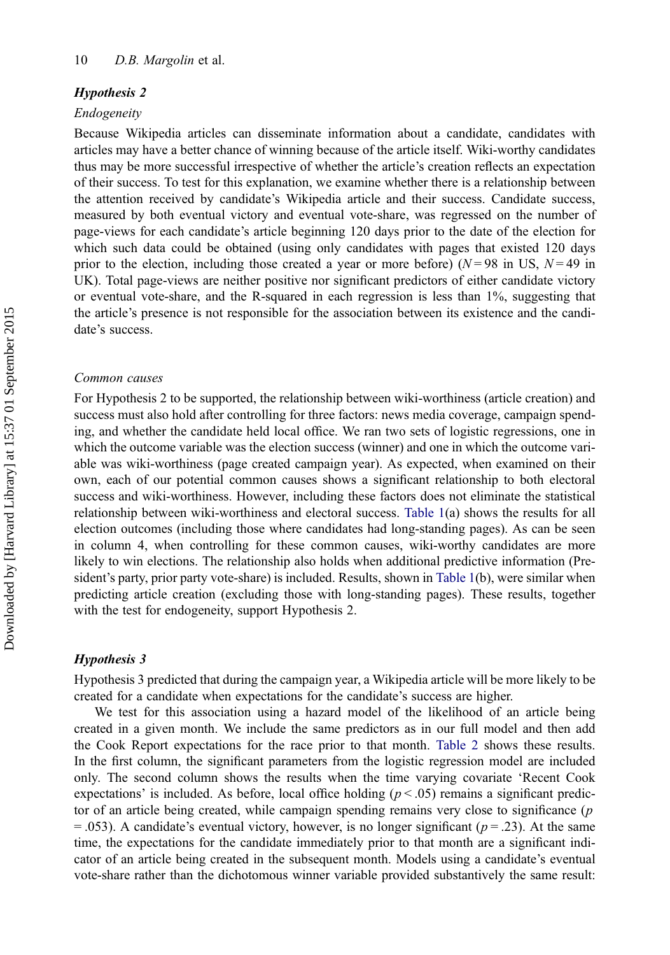### Hypothesis 2

#### Endogeneity

Because Wikipedia articles can disseminate information about a candidate, candidates with articles may have a better chance of winning because of the article itself. Wiki-worthy candidates thus may be more successful irrespective of whether the article's creation reflects an expectation of their success. To test for this explanation, we examine whether there is a relationship between the attention received by candidate's Wikipedia article and their success. Candidate success, measured by both eventual victory and eventual vote-share, was regressed on the number of page-views for each candidate's article beginning 120 days prior to the date of the election for which such data could be obtained (using only candidates with pages that existed 120 days prior to the election, including those created a year or more before) ( $N=98$  in US,  $N=49$  in UK). Total page-views are neither positive nor significant predictors of either candidate victory or eventual vote-share, and the R-squared in each regression is less than 1%, suggesting that the article's presence is not responsible for the association between its existence and the candidate's success.

### Common causes

For Hypothesis 2 to be supported, the relationship between wiki-worthiness (article creation) and success must also hold after controlling for three factors: news media coverage, campaign spending, and whether the candidate held local office. We ran two sets of logistic regressions, one in which the outcome variable was the election success (winner) and one in which the outcome variable was wiki-worthiness (page created campaign year). As expected, when examined on their own, each of our potential common causes shows a significant relationship to both electoral success and wiki-worthiness. However, including these factors does not eliminate the statistical relationship between wiki-worthiness and electoral success. [Table 1\(](#page-10-0)a) shows the results for all election outcomes (including those where candidates had long-standing pages). As can be seen in column 4, when controlling for these common causes, wiki-worthy candidates are more likely to win elections. The relationship also holds when additional predictive information (President's party, prior party vote-share) is included. Results, shown in [Table 1](#page-10-0)(b), were similar when predicting article creation (excluding those with long-standing pages). These results, together with the test for endogeneity, support Hypothesis 2.

#### Hypothesis 3

Hypothesis 3 predicted that during the campaign year, a Wikipedia article will be more likely to be created for a candidate when expectations for the candidate's success are higher.

We test for this association using a hazard model of the likelihood of an article being created in a given month. We include the same predictors as in our full model and then add the Cook Report expectations for the race prior to that month. [Table 2](#page-11-0) shows these results. In the first column, the significant parameters from the logistic regression model are included only. The second column shows the results when the time varying covariate 'Recent Cook expectations' is included. As before, local office holding ( $p < .05$ ) remains a significant predictor of an article being created, while campaign spending remains very close to significance  $(p)$  $= .053$ ). A candidate's eventual victory, however, is no longer significant ( $p = .23$ ). At the same time, the expectations for the candidate immediately prior to that month are a significant indicator of an article being created in the subsequent month. Models using a candidate's eventual vote-share rather than the dichotomous winner variable provided substantively the same result: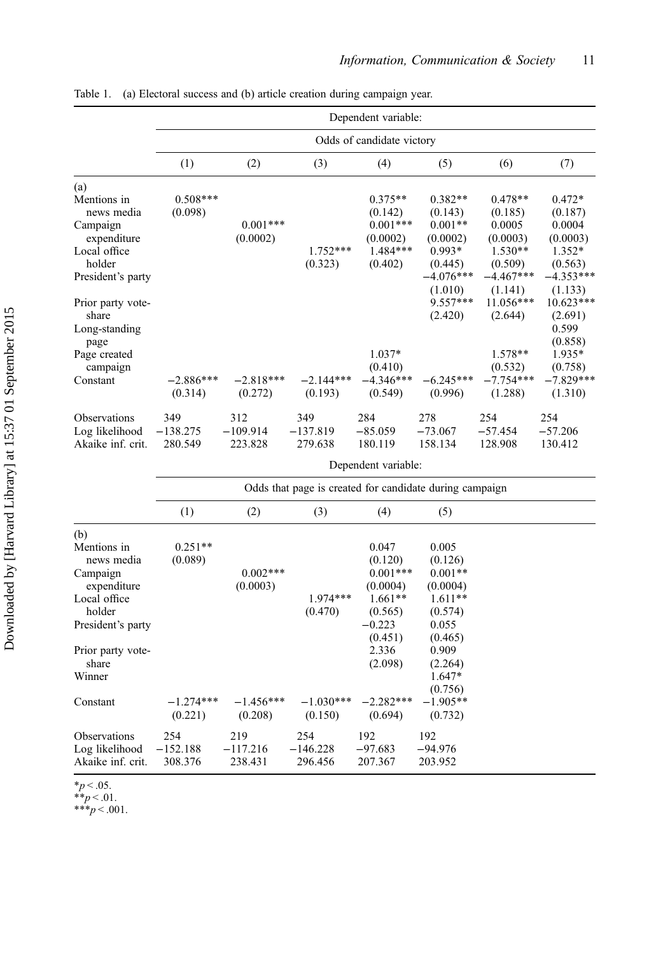|                                                                                                            | Dependent variable:                                     |                              |                              |                                                                                           |                                                                                   |                                                                                 |                                                                             |  |  |
|------------------------------------------------------------------------------------------------------------|---------------------------------------------------------|------------------------------|------------------------------|-------------------------------------------------------------------------------------------|-----------------------------------------------------------------------------------|---------------------------------------------------------------------------------|-----------------------------------------------------------------------------|--|--|
|                                                                                                            | Odds of candidate victory                               |                              |                              |                                                                                           |                                                                                   |                                                                                 |                                                                             |  |  |
|                                                                                                            | (1)                                                     | (2)                          | (3)                          | (4)                                                                                       | (5)                                                                               | (6)                                                                             | (7)                                                                         |  |  |
| (a)<br>Mentions in<br>news media<br>Campaign<br>expenditure<br>Local office<br>holder<br>President's party | $0.508***$<br>(0.098)                                   | $0.001***$<br>(0.0002)       | $1.752***$<br>(0.323)        | $0.375**$<br>(0.142)<br>$0.001***$<br>(0.0002)<br>$1.484***$<br>(0.402)                   | $0.382**$<br>(0.143)<br>$0.001**$<br>(0.0002)<br>$0.993*$<br>(0.445)<br>-4.076*** | $0.478**$<br>(0.185)<br>0.0005<br>(0.0003)<br>$1.530**$<br>(0.509)<br>-4.467*** | $0.472*$<br>(0.187)<br>0.0004<br>(0.0003)<br>1.352*<br>(0.563)<br>-4.353*** |  |  |
| Prior party vote-<br>share<br>Long-standing<br>page                                                        |                                                         |                              |                              |                                                                                           | (1.010)<br>9.557***<br>(2.420)                                                    | (1.141)<br>11.056***<br>(2.644)                                                 | (1.133)<br>$10.623***$<br>(2.691)<br>0.599<br>(0.858)                       |  |  |
| Page created<br>campaign<br>Constant                                                                       | $-2.886***$<br>(0.314)                                  | $-2.818***$<br>(0.272)       | $-2.144***$<br>(0.193)       | $1.037*$<br>(0.410)<br>$-4.346***$<br>(0.549)                                             | $-6.245***$<br>(0.996)                                                            | $1.578**$<br>(0.532)<br>$-7.754***$<br>(1.288)                                  | 1.935*<br>(0.758)<br>–7.829***<br>(1.310)                                   |  |  |
| Observations<br>Log likelihood<br>Akaike inf. crit.                                                        | 349<br>$-138.275$<br>280.549                            | 312<br>$-109.914$<br>223.828 | 349<br>$-137.819$<br>279.638 | 284<br>$-85.059$<br>180.119                                                               | 278<br>$-73.067$<br>158.134                                                       | 254<br>$-57.454$<br>128.908                                                     | 254<br>$-57.206$<br>130.412                                                 |  |  |
|                                                                                                            | Dependent variable:                                     |                              |                              |                                                                                           |                                                                                   |                                                                                 |                                                                             |  |  |
|                                                                                                            | Odds that page is created for candidate during campaign |                              |                              |                                                                                           |                                                                                   |                                                                                 |                                                                             |  |  |
|                                                                                                            | (1)                                                     | (2)                          | (3)                          | (4)                                                                                       | (5)                                                                               |                                                                                 |                                                                             |  |  |
| (b)<br>Mentions in<br>news media<br>Campaign<br>expenditure<br>Local office<br>holder<br>President's party | $0.251**$<br>(0.089)                                    | $0.002***$<br>(0.0003)       | 1.974***<br>(0.470)          | 0.047<br>(0.120)<br>$0.001***$<br>(0.0004)<br>$1.661**$<br>(0.565)<br>$-0.223$<br>(0.451) | 0.005<br>(0.126)<br>$0.001**$<br>(0.0004)<br>$1.611**$<br>(0.574)<br>0.055        |                                                                                 |                                                                             |  |  |
| Prior party vote-<br>share<br>Winner                                                                       |                                                         |                              |                              | 2.336<br>(2.098)                                                                          | (0.465)<br>0.909<br>(2.264)<br>1.647*<br>(0.756)                                  |                                                                                 |                                                                             |  |  |
| Constant                                                                                                   | $-1.274***$<br>(0.221)                                  | $-1.456***$<br>(0.208)       | $-1.030***$<br>(0.150)       | $-2.282***$<br>(0.694)                                                                    | $-1.905**$<br>(0.732)                                                             |                                                                                 |                                                                             |  |  |
| Observations<br>Log likelihood<br>Akaike inf. crit.                                                        | 254<br>$-152.188$<br>308.376                            | 219<br>$-117.216$<br>238.431 | 254<br>$-146.228$<br>296.456 | 192<br>$-97.683$<br>207.367                                                               | 192<br>$-94.976$<br>203.952                                                       |                                                                                 |                                                                             |  |  |

<span id="page-10-0"></span>Table 1. (a) Electoral success and (b) article creation during campaign year.

\*\*\* $p < .001$ .

 $*_{p}$  < .05.

<sup>\*\*</sup> $p < .01$ .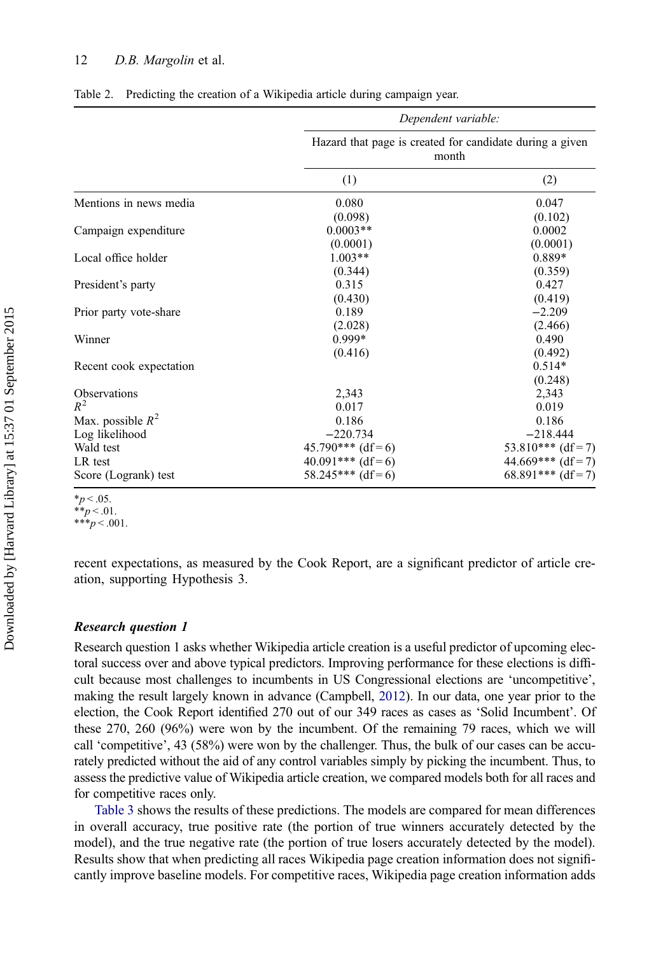## <span id="page-11-0"></span>12 D.B. Margolin et al.

|                         |                                                                   | Dependent variable:  |  |  |  |
|-------------------------|-------------------------------------------------------------------|----------------------|--|--|--|
|                         | Hazard that page is created for candidate during a given<br>month |                      |  |  |  |
|                         | (1)                                                               | (2)                  |  |  |  |
| Mentions in news media  | 0.080                                                             | 0.047                |  |  |  |
|                         | (0.098)                                                           | (0.102)              |  |  |  |
| Campaign expenditure    | $0.0003**$                                                        | 0.0002               |  |  |  |
|                         | (0.0001)                                                          | (0.0001)             |  |  |  |
| Local office holder     | $1.003**$                                                         | $0.889*$             |  |  |  |
|                         | (0.344)                                                           | (0.359)              |  |  |  |
| President's party       | 0.315                                                             | 0.427                |  |  |  |
|                         | (0.430)                                                           | (0.419)              |  |  |  |
| Prior party vote-share  | 0.189                                                             | $-2.209$             |  |  |  |
|                         | (2.028)                                                           | (2.466)              |  |  |  |
| Winner                  | $0.999*$                                                          | 0.490                |  |  |  |
|                         | (0.416)                                                           | (0.492)              |  |  |  |
| Recent cook expectation |                                                                   | $0.514*$             |  |  |  |
|                         |                                                                   | (0.248)              |  |  |  |
| Observations            | 2,343                                                             | 2,343                |  |  |  |
| $R^2$                   | 0.017                                                             | 0.019                |  |  |  |
| Max. possible $R^2$     | 0.186                                                             | 0.186                |  |  |  |
| Log likelihood          | $-220.734$                                                        | $-218.444$           |  |  |  |
| Wald test               | $45.790***$ (df = 6)                                              | $53.810***$ (df = 7) |  |  |  |
| LR test                 | $40.091***$ (df = 6)                                              | $44.669***$ (df = 7) |  |  |  |
| Score (Logrank) test    | $58.245***$ (df=6)                                                | $68.891***$ (df = 7) |  |  |  |

Table 2. Predicting the creation of a Wikipedia article during campaign year.

\*\*\* $p < .001$ .

recent expectations, as measured by the Cook Report, are a significant predictor of article creation, supporting Hypothesis 3.

### Research question 1

Research question 1 asks whether Wikipedia article creation is a useful predictor of upcoming electoral success over and above typical predictors. Improving performance for these elections is difficult because most challenges to incumbents in US Congressional elections are 'uncompetitive', making the result largely known in advance (Campbell, [2012\)](#page-15-0). In our data, one year prior to the election, the Cook Report identified 270 out of our 349 races as cases as 'Solid Incumbent'. Of these 270, 260 (96%) were won by the incumbent. Of the remaining 79 races, which we will call 'competitive', 43 (58%) were won by the challenger. Thus, the bulk of our cases can be accurately predicted without the aid of any control variables simply by picking the incumbent. Thus, to assess the predictive value of Wikipedia article creation, we compared models both for all races and for competitive races only.

[Table 3](#page-12-0) shows the results of these predictions. The models are compared for mean differences in overall accuracy, true positive rate (the portion of true winners accurately detected by the model), and the true negative rate (the portion of true losers accurately detected by the model). Results show that when predicting all races Wikipedia page creation information does not significantly improve baseline models. For competitive races, Wikipedia page creation information adds

 $*_{p}$  < .05. \*\* $p < .01$ .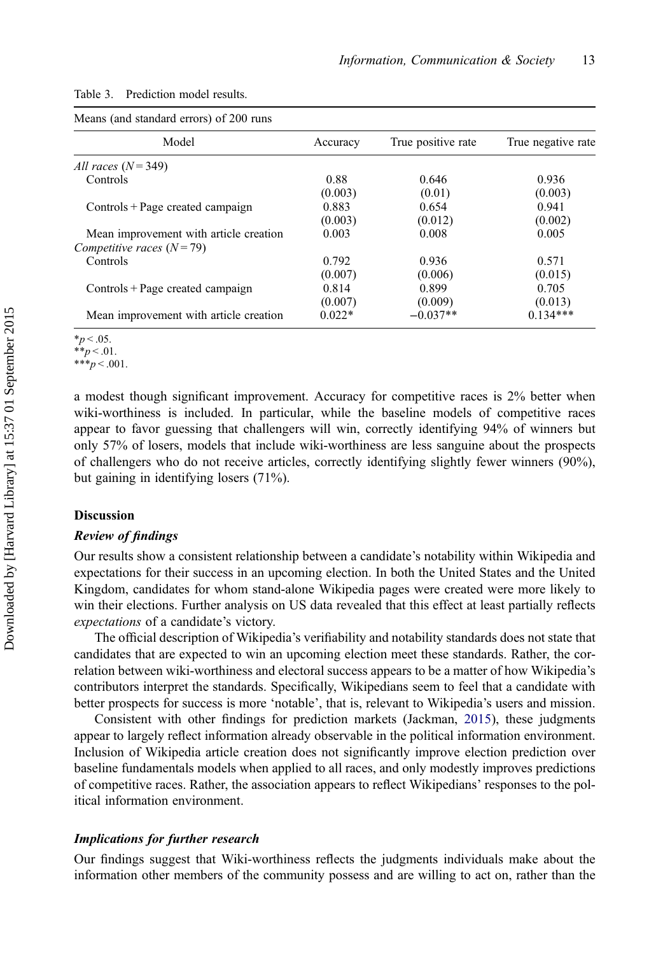| Model                                  | Accuracy | True positive rate | True negative rate |  |
|----------------------------------------|----------|--------------------|--------------------|--|
| All races $(N=349)$                    |          |                    |                    |  |
| Controls                               | 0.88     | 0.646              | 0.936              |  |
|                                        | (0.003)  | (0.01)             | (0.003)            |  |
| $Controls + Page created campaign$     | 0.883    | 0.654              | 0.941              |  |
|                                        | (0.003)  | (0.012)            | (0.002)            |  |
| Mean improvement with article creation | 0.003    | 0.008              | 0.005              |  |
| Competitive races $(N=79)$             |          |                    |                    |  |
| Controls                               | 0.792    | 0.936              | 0.571              |  |
|                                        | (0.007)  | (0.006)            | (0.015)            |  |
| $Controls + Page created campaign$     | 0.814    | 0.899              | 0.705              |  |
|                                        | (0.007)  | (0.009)            | (0.013)            |  |
| Mean improvement with article creation | $0.022*$ | $-0.037**$         | $0.134***$         |  |

### <span id="page-12-0"></span>Table 3. Prediction model results.

Means (and standard errors) of 200 runs

#### $*_{p}$  < .05. \*\* $p < .01$ .

\*\*\* $p < .001$ .

a modest though significant improvement. Accuracy for competitive races is 2% better when wiki-worthiness is included. In particular, while the baseline models of competitive races appear to favor guessing that challengers will win, correctly identifying 94% of winners but only 57% of losers, models that include wiki-worthiness are less sanguine about the prospects of challengers who do not receive articles, correctly identifying slightly fewer winners (90%), but gaining in identifying losers (71%).

## Discussion

### Review of findings

Our results show a consistent relationship between a candidate's notability within Wikipedia and expectations for their success in an upcoming election. In both the United States and the United Kingdom, candidates for whom stand-alone Wikipedia pages were created were more likely to win their elections. Further analysis on US data revealed that this effect at least partially reflects expectations of a candidate's victory.

The official description of Wikipedia's verifiability and notability standards does not state that candidates that are expected to win an upcoming election meet these standards. Rather, the correlation between wiki-worthiness and electoral success appears to be a matter of how Wikipedia's contributors interpret the standards. Specifically, Wikipedians seem to feel that a candidate with better prospects for success is more 'notable', that is, relevant to Wikipedia's users and mission.

Consistent with other findings for prediction markets (Jackman, [2015\)](#page-15-0), these judgments appear to largely reflect information already observable in the political information environment. Inclusion of Wikipedia article creation does not significantly improve election prediction over baseline fundamentals models when applied to all races, and only modestly improves predictions of competitive races. Rather, the association appears to reflect Wikipedians' responses to the political information environment.

### Implications for further research

Our findings suggest that Wiki-worthiness reflects the judgments individuals make about the information other members of the community possess and are willing to act on, rather than the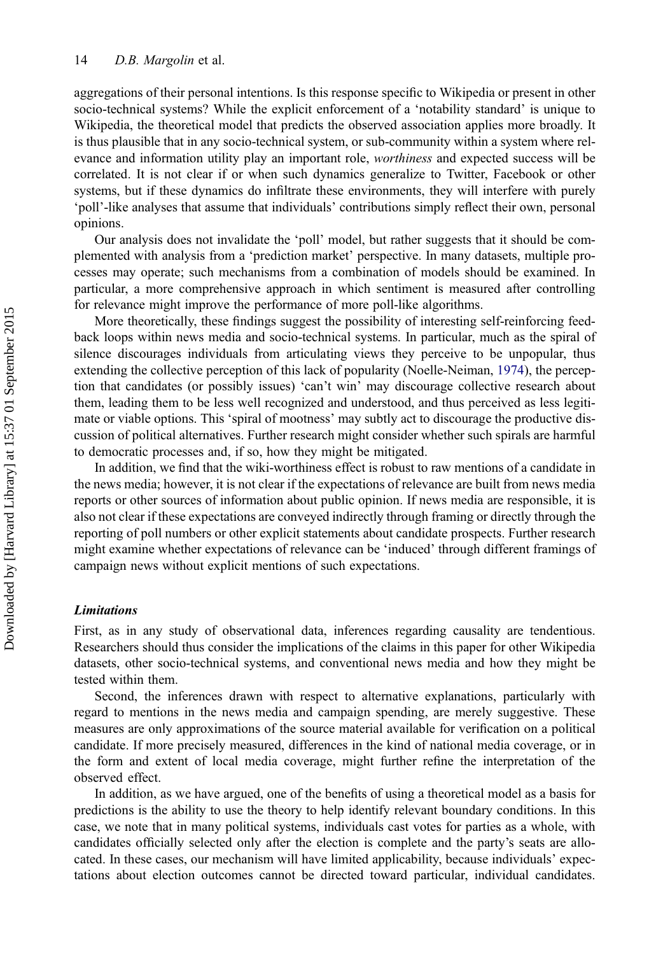aggregations of their personal intentions. Is this response specific to Wikipedia or present in other socio-technical systems? While the explicit enforcement of a 'notability standard' is unique to Wikipedia, the theoretical model that predicts the observed association applies more broadly. It is thus plausible that in any socio-technical system, or sub-community within a system where relevance and information utility play an important role, worthiness and expected success will be correlated. It is not clear if or when such dynamics generalize to Twitter, Facebook or other systems, but if these dynamics do infiltrate these environments, they will interfere with purely 'poll'-like analyses that assume that individuals' contributions simply reflect their own, personal opinions.

Our analysis does not invalidate the 'poll' model, but rather suggests that it should be complemented with analysis from a 'prediction market' perspective. In many datasets, multiple processes may operate; such mechanisms from a combination of models should be examined. In particular, a more comprehensive approach in which sentiment is measured after controlling for relevance might improve the performance of more poll-like algorithms.

More theoretically, these findings suggest the possibility of interesting self-reinforcing feedback loops within news media and socio-technical systems. In particular, much as the spiral of silence discourages individuals from articulating views they perceive to be unpopular, thus extending the collective perception of this lack of popularity (Noelle-Neiman, [1974](#page-16-0)), the perception that candidates (or possibly issues) 'can't win' may discourage collective research about them, leading them to be less well recognized and understood, and thus perceived as less legitimate or viable options. This 'spiral of mootness' may subtly act to discourage the productive discussion of political alternatives. Further research might consider whether such spirals are harmful to democratic processes and, if so, how they might be mitigated.

In addition, we find that the wiki-worthiness effect is robust to raw mentions of a candidate in the news media; however, it is not clear if the expectations of relevance are built from news media reports or other sources of information about public opinion. If news media are responsible, it is also not clear if these expectations are conveyed indirectly through framing or directly through the reporting of poll numbers or other explicit statements about candidate prospects. Further research might examine whether expectations of relevance can be 'induced' through different framings of campaign news without explicit mentions of such expectations.

#### Limitations

First, as in any study of observational data, inferences regarding causality are tendentious. Researchers should thus consider the implications of the claims in this paper for other Wikipedia datasets, other socio-technical systems, and conventional news media and how they might be tested within them.

Second, the inferences drawn with respect to alternative explanations, particularly with regard to mentions in the news media and campaign spending, are merely suggestive. These measures are only approximations of the source material available for verification on a political candidate. If more precisely measured, differences in the kind of national media coverage, or in the form and extent of local media coverage, might further refine the interpretation of the observed effect.

In addition, as we have argued, one of the benefits of using a theoretical model as a basis for predictions is the ability to use the theory to help identify relevant boundary conditions. In this case, we note that in many political systems, individuals cast votes for parties as a whole, with candidates officially selected only after the election is complete and the party's seats are allocated. In these cases, our mechanism will have limited applicability, because individuals' expectations about election outcomes cannot be directed toward particular, individual candidates.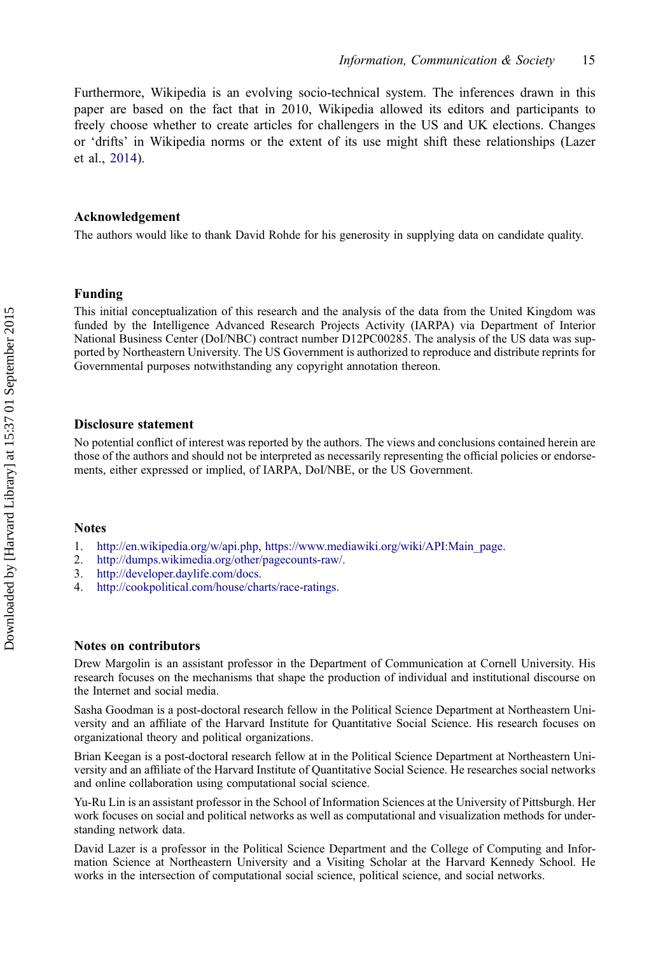<span id="page-14-0"></span>Furthermore, Wikipedia is an evolving socio-technical system. The inferences drawn in this paper are based on the fact that in 2010, Wikipedia allowed its editors and participants to freely choose whether to create articles for challengers in the US and UK elections. Changes or 'drifts' in Wikipedia norms or the extent of its use might shift these relationships (Lazer et al., [2014](#page-15-0)).

## Acknowledgement

The authors would like to thank David Rohde for his generosity in supplying data on candidate quality.

## Funding

This initial conceptualization of this research and the analysis of the data from the United Kingdom was funded by the Intelligence Advanced Research Projects Activity (IARPA) via Department of Interior National Business Center (DoI/NBC) contract number D12PC00285. The analysis of the US data was supported by Northeastern University. The US Government is authorized to reproduce and distribute reprints for Governmental purposes notwithstanding any copyright annotation thereon.

### Disclosure statement

No potential conflict of interest was reported by the authors. The views and conclusions contained herein are those of the authors and should not be interpreted as necessarily representing the official policies or endorsements, either expressed or implied, of IARPA, DoI/NBE, or the US Government.

#### **Notes**

- 1. <http://en.wikipedia.org/w/api.php>, [https://www.mediawiki.org/wiki/API:Main\\_page](https://www.mediawiki.org/wiki/API:Main_page).
- 2. <http://dumps.wikimedia.org/other/pagecounts-raw/>.
- 3. <http://developer.daylife.com/docs>.
- 4. [http://cookpolitical.com/house/charts/race-ratings.](http://cookpolitical.com/house/charts/race-ratings)

#### Notes on contributors

Drew Margolin is an assistant professor in the Department of Communication at Cornell University. His research focuses on the mechanisms that shape the production of individual and institutional discourse on the Internet and social media.

Sasha Goodman is a post-doctoral research fellow in the Political Science Department at Northeastern University and an affiliate of the Harvard Institute for Quantitative Social Science. His research focuses on organizational theory and political organizations.

Brian Keegan is a post-doctoral research fellow at in the Political Science Department at Northeastern University and an affiliate of the Harvard Institute of Quantitative Social Science. He researches social networks and online collaboration using computational social science.

Yu-Ru Lin is an assistant professor in the School of Information Sciences at the University of Pittsburgh. Her work focuses on social and political networks as well as computational and visualization methods for understanding network data.

David Lazer is a professor in the Political Science Department and the College of Computing and Information Science at Northeastern University and a Visiting Scholar at the Harvard Kennedy School. He works in the intersection of computational social science, political science, and social networks.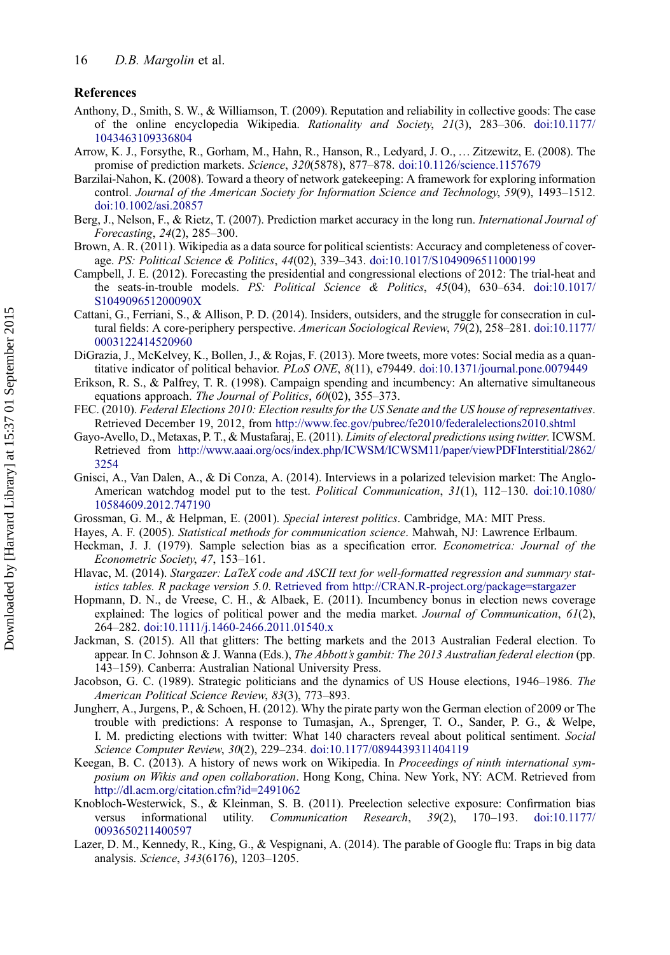#### <span id="page-15-0"></span>References

- Anthony, D., Smith, S. W., & Williamson, T. (2009). Reputation and reliability in collective goods: The case of the online encyclopedia Wikipedia. Rationality and Society, 21(3), 283–306. [doi:10.1177/](http://dx.doi.org/10.1177/1043463109336804) [1043463109336804](http://dx.doi.org/10.1177/1043463109336804)
- Arrow, K. J., Forsythe, R., Gorham, M., Hahn, R., Hanson, R., Ledyard, J. O., … Zitzewitz, E. (2008). The promise of prediction markets. Science, 320(5878), 877–878. [doi:10.1126/science.1157679](http://dx.doi.org/10.1126/science.1157679)
- Barzilai-Nahon, K. (2008). Toward a theory of network gatekeeping: A framework for exploring information control. Journal of the American Society for Information Science and Technology, 59(9), 1493–1512. [doi:10.1002/asi.20857](http://dx.doi.org/10.1002/asi.20857)
- Berg, J., Nelson, F., & Rietz, T. (2007). Prediction market accuracy in the long run. International Journal of Forecasting, 24(2), 285–300.
- Brown, A. R. (2011). Wikipedia as a data source for political scientists: Accuracy and completeness of coverage. PS: Political Science & Politics, 44(02), 339–343. [doi:10.1017/S1049096511000199](http://dx.doi.org/10.1017/S1049096511000199)
- Campbell, J. E. (2012). Forecasting the presidential and congressional elections of 2012: The trial-heat and the seats-in-trouble models. PS: Political Science & Politics, 45(04), 630–634. [doi:10.1017/](http://doi.org/10.1017/S104909651200090X) [S104909651200090X](http://doi.org/10.1017/S104909651200090X)
- Cattani, G., Ferriani, S., & Allison, P. D. (2014). Insiders, outsiders, and the struggle for consecration in cultural fields: A core-periphery perspective. American Sociological Review, 79(2), 258–281. [doi:10.1177/](http://dx.doi.org/10.1177/0003122414520960) [0003122414520960](http://dx.doi.org/10.1177/0003122414520960)
- DiGrazia, J., McKelvey, K., Bollen, J., & Rojas, F. (2013). More tweets, more votes: Social media as a quantitative indicator of political behavior. PLoS ONE, 8(11), e79449. [doi:10.1371/journal.pone.0079449](http://dx.doi.org/10.1371/journal.pone.0079449)
- Erikson, R. S., & Palfrey, T. R. (1998). Campaign spending and incumbency: An alternative simultaneous equations approach. The Journal of Politics, 60(02), 355–373.
- FEC. (2010). Federal Elections 2010: Election results for the US Senate and the US house of representatives. Retrieved December 19, 2012, from <http://www.fec.gov/pubrec/fe2010/federalelections2010.shtml>
- Gayo-Avello, D., Metaxas, P. T., & Mustafaraj, E. (2011). Limits of electoral predictions using twitter. ICWSM. Retrieved from [http://www.aaai.org/ocs/index.php/ICWSM/ICWSM11/paper/viewPDFInterstitial/2862/](http://www.aaai.org/ocs/index.php/ICWSM/ICWSM11/paper/viewPDFInterstitial/2862/3254) [3254](http://www.aaai.org/ocs/index.php/ICWSM/ICWSM11/paper/viewPDFInterstitial/2862/3254)
- Gnisci, A., Van Dalen, A., & Di Conza, A. (2014). Interviews in a polarized television market: The Anglo-American watchdog model put to the test. *Political Communication*,  $3I(1)$ , 112–130. [doi:10.1080/](http://dx.doi.org/10.1080/10584609.2012.747190) [10584609.2012.747190](http://dx.doi.org/10.1080/10584609.2012.747190)
- Grossman, G. M., & Helpman, E. (2001). Special interest politics. Cambridge, MA: MIT Press.
- Hayes, A. F. (2005). Statistical methods for communication science. Mahwah, NJ: Lawrence Erlbaum.
- Heckman, J. J. (1979). Sample selection bias as a specification error. Econometrica: Journal of the Econometric Society, 47, 153–161.
- Hlavac, M. (2014). Stargazer: LaTeX code and ASCII text for well-formatted regression and summary stat-istics tables. R package version 5.0. [Retrieved from http://CRAN.R-project.org/package=stargazer](http://CRAN.R-project.org/package=stargazer)
- Hopmann, D. N., de Vreese, C. H., & Albaek, E. (2011). Incumbency bonus in election news coverage explained: The logics of political power and the media market. Journal of Communication,  $61(2)$ , 264–282. [doi:10.1111/j.1460-2466.2011.01540.x](http://dx.doi.org/10.1111/j.1460-2466.2011.01540.x)
- Jackman, S. (2015). All that glitters: The betting markets and the 2013 Australian Federal election. To appear. In C. Johnson & J. Wanna (Eds.), The Abbott's gambit: The 2013 Australian federal election (pp. 143–159). Canberra: Australian National University Press.
- Jacobson, G. C. (1989). Strategic politicians and the dynamics of US House elections, 1946–1986. The American Political Science Review, 83(3), 773–893.
- Jungherr, A., Jurgens, P., & Schoen, H. (2012). Why the pirate party won the German election of 2009 or The trouble with predictions: A response to Tumasjan, A., Sprenger, T. O., Sander, P. G., & Welpe, I. M. predicting elections with twitter: What 140 characters reveal about political sentiment. Social Science Computer Review, 30(2), 229–234. [doi:10.1177/0894439311404119](http://dx.doi.org/10.1177/0894439311404119)
- Keegan, B. C. (2013). A history of news work on Wikipedia. In Proceedings of ninth international symposium on Wikis and open collaboration. Hong Kong, China. New York, NY: ACM. Retrieved from <http://dl.acm.org/citation.cfm?id=2491062>
- Knobloch-Westerwick, S., & Kleinman, S. B. (2011). Preelection selective exposure: Confirmation bias versus informational utility. Communication Research, 39(2), 170–193. [doi:10.1177/](http://dx.doi.org/10.1177/0093650211400597) [0093650211400597](http://dx.doi.org/10.1177/0093650211400597)
- Lazer, D. M., Kennedy, R., King, G., & Vespignani, A. (2014). The parable of Google flu: Traps in big data analysis. Science, 343(6176), 1203–1205.